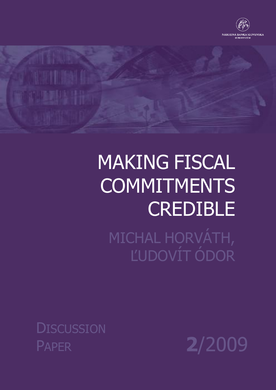

# MAKING FISCAL **COMMITMENTS CREDIBLE**

MICHAL HORVÁTH, ĽUDOVÍT ÓDOR

**DISCUSSION** PAPER **2**/2009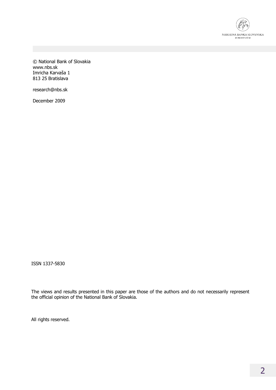

© National Bank of Slovakia www.nbs.sk Imricha Karvaša 1 813 25 Bratislava

research@nbs.sk

December 2009

ISSN 1337-5830

The views and results presented in this paper are those of the authors and do not necessarily represent the official opinion of the National Bank of Slovakia.

All rights reserved.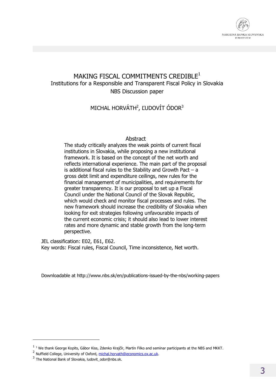

### MAKING FISCAL COMMITMENTS CREDIBLE<sup>1</sup> Institutions for a Responsible and Transparent Fiscal Policy in Slovakia NBS Discussion paper

MICHAL HORVÁTH<sup>2</sup>, ĽUDOVÍT ÓDOR<sup>3</sup>

#### Abstract

The study critically analyzes the weak points of current fiscal institutions in Slovakia, while proposing a new institutional framework. It is based on the concept of the net worth and reflects international experience. The main part of the proposal is additional fiscal rules to the Stability and Growth Pact – a gross debt limit and expenditure ceilings, new rules for the financial management of municipalities, and requirements for greater transparency. It is our proposal to set up a Fiscal Council under the National Council of the Slovak Republic, which would check and monitor fiscal processes and rules. The new framework should increase the credibility of Slovakia when looking for exit strategies following unfavourable impacts of the current economic crisis; it should also lead to lower interest rates and more dynamic and stable growth from the long-term perspective.

JEL classification: E02, E61, E62. Key words: Fiscal rules, Fiscal Council, Time inconsistence, Net worth.

Downloadable at http://www.nbs.sk/en/publications-issued-by-the-nbs/working-papers

 $\overline{a}$ 

 $1$   $1$  We thank George Kopits, Gábor Kiss, Zdenko Krajčír, Martin Filko and seminar participants at the NBS and MKKT.

<sup>&</sup>lt;sup>2</sup> Nuffield College, University of Oxford, michal.horvath@economics.ox.ac.uk.

<sup>&</sup>lt;sup>3</sup> The National Bank of Slovakia, ludovit\_odor@nbs.sk.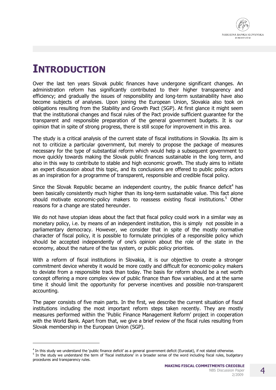

# **INTRODUCTION**

-

Over the last ten years Slovak public finances have undergone significant changes. An administration reform has significantly contributed to their higher transparency and efficiency; and gradually the issues of responsibility and long-term sustainability have also become subjects of analyses. Upon joining the European Union, Slovakia also took on obligations resulting from the Stability and Growth Pact (SGP). At first glance it might seem that the institutional changes and fiscal rules of the Pact provide sufficient guarantee for the transparent and responsible preparation of the general government budgets. It is our opinion that in spite of strong progress, there is still scope for improvement in this area.

The study is a critical analysis of the current state of fiscal institutions in Slovakia. Its aim is not to criticize a particular government, but merely to propose the package of measures necessary for the type of substantial reform which would help a subsequent government to move quickly towards making the Slovak public finances sustainable in the long term, and also in this way to contribute to stable and high economic growth. The study aims to initiate an expert discussion about this topic, and its conclusions are offered to public policy actors as an inspiration for a programme of transparent, responsible and credible fiscal policy.

Since the Slovak Republic became an independent country, the public finance deficit<sup>4</sup> has been basically consistently much higher than its long-term sustainable value. This fact alone should motivate economic-policy makers to reassess existing fiscal institutions.<sup>5</sup> Other reasons for a change are stated hereunder.

We do not have utopian ideas about the fact that fiscal policy could work in a similar way as monetary policy, i.e. by means of an independent institution, this is simply not possible in a parliamentary democracy. However, we consider that in spite of the mostly normative character of fiscal policy, it is possible to formulate principles of a responsible policy which should be accepted independently of one's opinion about the role of the state in the economy, about the nature of the tax system, or public policy priorities.

With a reform of fiscal institutions in Slovakia, it is our objective to create a stronger commitment device whereby it would be more costly and difficult for economic-policy makers to deviate from a responsible track than today. The basis for reform should be a net worth concept offering a more complex view of public finance than flow variables, and at the same time it should limit the opportunity for perverse incentives and possible non-transparent accounting.

The paper consists of five main parts. In the first, we describe the current situation of fiscal institutions including the most important reform steps taken recently. They are mostly measures performed within the 'Public Finance Management Reform' project in cooperation with the World Bank. Apart from that, we give a brief review of the fiscal rules resulting from Slovak membership in the European Union (SGP).

<sup>&</sup>lt;sup>4</sup> In this study we understand the 'public finance deficit' as a general government deficit (Eurostat), if not stated otherwise. <sup>5</sup> In the study we understand the term of 'fiscal institutions' in a broader sense of the word including fiscal rules, budgetary procedures and transparency rules.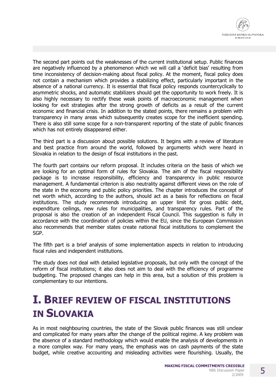The second part points out the weaknesses of the current institutional setup. Public finances are negatively influenced by a phenomenon which we will call a 'deficit bias' resulting from time inconsistency of decision-making about fiscal policy. At the moment, fiscal policy does not contain a mechanism which provides a stabilizing effect, particularly important in the absence of a national currency. It is essential that fiscal policy responds countercyclically to asymmetric shocks, and automatic stabilizers should get the opportunity to work freely. It is also highly necessary to rectify these weak points of macroeconomic management when looking for exit strategies after the strong growth of deficits as a result of the current economic and financial crisis. In addition to the stated points, there remains a problem with transparency in many areas which subsequently creates scope for the inefficient spending. There is also still some scope for a non-transparent reporting of the state of public finances which has not entirely disappeared either.

The third part is a discussion about possible solutions. It begins with a review of literature and best practice from around the world, followed by arguments which were heard in Slovakia in relation to the design of fiscal institutions in the past.

The fourth part contains our reform proposal. It includes criteria on the basis of which we are looking for an optimal form of rules for Slovakia. The aim of the fiscal responsibility package is to increase responsibility, efficiency and transparency in public resource management. A fundamental criterion is also neutrality against different views on the role of the state in the economy and public policy priorities. The chapter introduces the concept of net worth which, according to the authors, should act as a basis for reflections on fiscal institutions. The study recommends introducing an upper limit for gross public debt, expenditure ceilings, new rules for municipalities, and transparency rules. Part of the proposal is also the creation of an independent Fiscal Council. This suggestion is fully in accordance with the coordination of policies within the EU, since the European Commission also recommends that member states create national fiscal institutions to complement the SGP.

The fifth part is a brief analysis of some implementation aspects in relation to introducing fiscal rules and independent institutions.

The study does not deal with detailed legislative proposals, but only with the concept of the reform of fiscal institutions; it also does not aim to deal with the efficiency of programme budgeting. The proposed changes can help in this area, but a solution of this problem is complementary to our intentions.

# **I. BRIEF REVIEW OF FISCAL INSTITUTIONS IN SLOVAKIA**

As in most neighbouring countries, the state of the Slovak public finances was still unclear and complicated for many years after the change of the political regime. A key problem was the absence of a standard methodology which would enable the analysis of developments in a more complex way. For many years, the emphasis was on cash payments of the state budget, while creative accounting and misleading activities were flourishing. Usually, the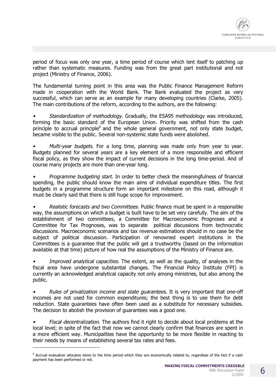

period of focus was only one year, a time period of course which lent itself to patching up rather than systematic measures. Funding was from the great part institutional and not project (Ministry of Finance, 2006).

The fundamental turning point in this area was the Public Finance Management Reform made in cooperation with the World Bank. The Bank evaluated the project as very successful, which can serve as an example for many developing countries (Clarke, 2005). The main contributions of the reform, according to the authors, are the following:

*• Standardization of methodology*. Gradually, the ESA95 methodology was introduced, forming the basic standard of the European Union. Priority was shifted from the cash principle to accrual principle<sup>6</sup> and the whole general government, not only state budget, became visible to the public. Several non-systemic state funds were abolished.

*• Multi-year budgets*. For a long time, planning was made only from year to year. Budgets planned for several years are a key element of a more responsible and efficient fiscal policy, as they show the impact of current decisions in the long time-period. And of course many projects are more than one-year long.

*• Programme budgeting start*. In order to better check the meaningfulness of financial spending, the public should know the main aims of individual expenditure titles. The first budgets in a programme structure form an important milestone on this road, although it must be clearly said that there is still huge scope for improvement.

*• Realistic forecasts and two Committees*. Public finance must be spent in a responsible way, the assumptions on which a budget is built have to be set very carefully. The aim of the establishment of two committees, a Committee for Macroeconomic Prognoses and a Committee for Tax Prognoses, was to separate political discussions from technocratic discussions. Macroeconomic scenarios and tax revenue estimations should in no case be the subject of political discussion. Participation of renowned expert institutions in the Committees is a guarantee that the public will get a trustworthy (based on the information available at that time) picture of how real the assumptions of the Ministry of Finance are.

*• Improved analytical capacities*. The extent, as well as the quality, of analyses in the fiscal area have undergone substantial changes. The Financial Policy Institute (FPI) is currently an acknowledged analytical capacity not only among ministries, but also among the public.

*• Rules of privatization income and state guarantees*. It is very important that one-off incomes are not used for common expenditures; the best thing is to use them for debt reduction. State guarantees have often been used as a substitute for necessary subsidies. The decision to abolish the provision of guarantees was a good one.

*• Fiscal decentralization*. The authors find it right to decide about local problems at the local level; in spite of the fact that now we cannot clearly confirm that finances are spent in a more efficient way. Municipalities have the opportunity to be more flexible in reacting to their needs by means of establishing several tax rates and fees.

j

<sup>&</sup>lt;sup>6</sup> Accrual evaluation allocates items to the time period which they are economically related to, regardless of the fact if a cash payment has been performed or not.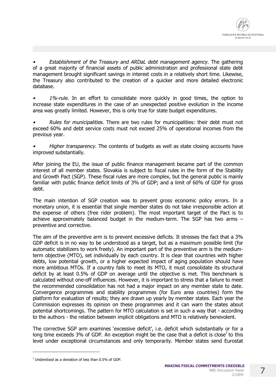*• Establishment of the Treasury and ARDaL debt management agency*. The gathering of a great majority of financial assets of public administration and professional state debt management brought significant savings in interest costs in a relatively short time. Likewise, the Treasury also contributed to the creation of a quicker and more detailed electronic database.

*• 1%-rule.* In an effort to consolidate more quickly in good times, the option to increase state expenditures in the case of an unexpected positive evolution in the income area was greatly limited. However, this is only true for state budget expenditures.

*• Rules for municipalities.* There are two rules for municipalities: their debt must not exceed 60% and debt service costs must not exceed 25% of operational incomes from the previous year.

*• Higher transparency*. The contents of budgets as well as state closing accounts have improved substantially.

After joining the EU, the issue of public finance management became part of the common interest of all member states. Slovakia is subject to fiscal rules in the form of the Stability and Growth Pact (SGP). These fiscal rules are more complex, but the general public is mainly familiar with public finance deficit limits of 3% of GDP; and a limit of 60% of GDP for gross debt.

The main intention of SGP creation was to prevent gross economic policy errors. In a monetary union, it is essential that single member states do not take irresponsible action at the expense of others (free rider problem). The most important target of the Pact is to achieve approximately balanced budget in the medium-term. The SGP has two arms – preventive and corrective.

The aim of the preventive arm is to prevent excessive deficits. It stresses the fact that a 3% GDP deficit is in no way to be understood as a target, but as a maximum possible limit (for automatic stabilizers to work freely). An important part of the preventive arm is the mediumterm objective (MTO), set individually by each country. It is clear that countries with higher debts, low potential growth, or a higher expected impact of aging population should have more ambitious MTOs. If a country fails to meet its MTO, it must consolidate its structural deficit by at least 0.5% of GDP on average until the objective is met. This benchmark is calculated without one-off influences. However, it is important to stress that a failure to meet the recommended consolidation has not had a major impact on any member state to date. Convergence programmes and stability programmes (for Euro area countries) form the platform for evaluation of results; they are drawn up yearly by member states. Each year the Commission expresses its opinion on these programmes and it can warn the states about potential shortcomings. The pattern for MTO calculation is set in such a way that - according to the authors - the relation between implicit obligations and MTO is relatively benevolent.

The corrective SGP arm examines 'excessive deficit', i.e. deficit which substantially or for a long time exceeds 3% of GDP. An exception might be the case that a deficit is close<sup>7</sup> to this level under exceptional circumstances and only temporarily. Member states send Eurostat

j

 $<sup>7</sup>$  Understood as a deviation of less than 0.5% of GDP.</sup>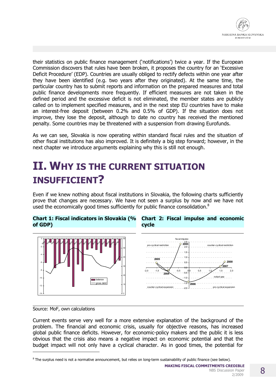

their statistics on public finance management ('notifications') twice a year. If the European Commission discovers that rules have been broken, it proposes the country for an 'Excessive Deficit Procedure' (EDP). Countries are usually obliged to rectify defects within one year after they have been identified (e.g. two years after they originated). At the same time, the particular country has to submit reports and information on the prepared measures and total public finance developments more frequently. If efficient measures are not taken in the defined period and the excessive deficit is not eliminated, the member states are publicly called on to implement specified measures, and in the next step EU countries have to make an interest-free deposit (between 0.2% and 0.5% of GDP). If the situation does not improve, they lose the deposit, although to date no country has received the mentioned penalty. Some countries may be threatened with a suspension from drawing Eurofunds.

As we can see, Slovakia is now operating within standard fiscal rules and the situation of other fiscal institutions has also improved. It is definitely a big step forward; however, in the next chapter we introduce arguments explaining why this is still not enough.

# **II. WHY IS THE CURRENT SITUATION INSUFFICIENT?**

Even if we knew nothing about fiscal institutions in Slovakia, the following charts sufficiently prove that changes are necessary. We have not seen a surplus by now and we have not used the economically good times sufficiently for public finance consolidation. $8$ 

#### **Chart 1: Fiscal indicators in Slovakia (% of GDP)**







#### Source: MoF, own calculations

j

Current events serve very well for a more extensive explanation of the background of the problem. The financial and economic crisis, usually for objective reasons, has increased global public finance deficits. However, for economic-policy makers and the public it is less obvious that the crisis also means a negative impact on economic potential and that the budget impact will not only have a cyclical character. As in good times, the potential for

2/2009

<sup>&</sup>lt;sup>8</sup> The surplus need is not a normative announcement, but relies on long-term sustainability of public finance (see below).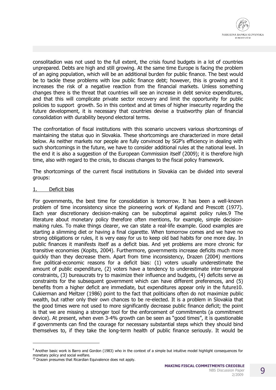consolitadion was not used to the full extent, the crisis found budgets in a lot of countries unprepared. Debts are high and still growing. At the same time Europe is facing the problem of an aging population, which will be an additional burden for public finance. The best would be to tackle these problems with low public finance debt; however, this is growing and it increases the risk of a negative reaction from the financial markets. Unless something changes there is the threat that countries will see an increase in debt service expenditures, and that this will complicate private sector recovery and limit the opportunity for public policies to support growth. So in this context and at times of higher insecurity regarding the future development, it is necessary that countries devise a trustworthy plan of financial consolidation with durability beyond electoral terms.

The confrontation of fiscal institutions with this scenario uncovers various shortcomings of maintaining the status quo in Slovakia. These shortcomings are characterized in more detail below. As neither markets nor people are fully convinced by SGP's efficiency in dealing with such shortcomings in the future, we have to consider additional rules at the national level. In the end it is also a suggestion of the European Commission itself (2009); it is therefore high time, also with regard to the crisis, to discuss changes to the fiscal policy framework.

The shortcomings of the current fiscal institutions in Slovakia can be divided into several groups:

#### 1. Deficit bias

-

For governments, the best time for consolidation is tomorrow. It has been a well-known problem of time inconsistency since the pioneering work of Kydland and Prescott (1977). Each year discretionary decision-making can be suboptimal against policy rules.9 The literature about monetary policy therefore often mentions, for example, simple decisionmaking rules. To make things clearer, we can state a real-life example. Good examples are starting a slimming diet or having a final cigarette. When tomorrow comes and we have no strong obligations or rules, it is very easy for us to keep old bad habits for one more day. In public finances it manifests itself as a deficit bias. And yet problems are more chronic for transitive economies (Kopits, 2004). Furthermore, governments increase deficits much more quickly than they decrease them. Apart from time inconsistency, Drazen (2004) mentions five political-economic reasons for a deficit bias: (1) voters usually underestimate the amount of public expenditure, (2) voters have a tendency to underestimate inter-temporal constraints, (3) bureaucrats try to maximize their influence and budgets, (4) deficits serve as constraints for the subsequent government which can have different preferences, and (5) benefits from a higher deficit are immediate, but expenditures appear only in the future10. Cukierman and Meltzer (1986) point to the fact that politicians often do not maximize public wealth, but rather only their own chances to be re-elected. It is a problem in Slovakia that the good times were not used to more significantly decrease public finance deficit; the point is that we are missing a stronger tool for the enforcement of commitments (a commitment device). At present, when even 3-4% growth can be seen as "good times", it is questionable if governments can find the courage for necessary substantial steps which they should bind themselves to, if they take the long-term health of public finance seriously. It would be

<sup>&</sup>lt;sup>9</sup> Another basic work is Barro and Gordon (1983) who in the context of a simple but intuitive model highlight consequences for monetary policy and social welfare.

<sup>&</sup>lt;sup>10</sup> Drazen presumes that Ricardian Equivalence does not apply.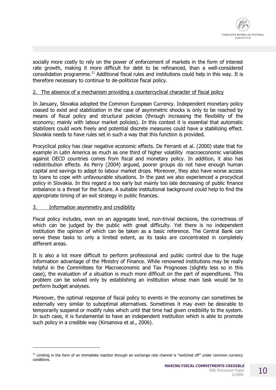

socially more costly to rely on the power of enforcement of markets in the form of interest rate growth, making it more difficult for debt to be refinanced, than a well-considered consolidation programme.<sup>11</sup> Additional fiscal rules and institutions could help in this way. It is therefore necessary to continue to de-politicize fiscal policy.

#### 2. The absence of a mechanism providing a countercyclical character of fiscal policy

In January, Slovakia adopted the Common European Currency. Independent monetary policy ceased to exist and stabilization in the case of asymmetric shocks is only to be reached by means of fiscal policy and structural policies (through increasing the flexibility of the economy; mainly with labour market policies). In this context it is essential that automatic stabilizers could work freely and potential discrete measures could have a stabilizing effect. Slovakia needs to have rules set in such a way that this function is provided.

Procyclical policy has clear negative economic effects. De Ferranti et al. (2000) state that for example in Latin America as much as one third of higher volatility macroeconomic variables against OECD countries comes from fiscal and monetary policy. In addition, it also has redistribution effects. As Perry (2004) argued, poorer groups do not have enough human capital and savings to adapt to labour market drops. Moreover, they also have worse access to loans to cope with unfavourable situations. In the past we also experienced a procyclical policy in Slovakia. In this regard a too early but mainly too late decreasing of public finance imbalance is a threat for the future. A suitable institutional background could help to find the appropriate timing of an exit strategy in public finances.

#### 3. Information asymmetry and credibility

j

Fiscal policy includes, even on an aggregate level, non-trivial decisions, the correctness of which can be judged by the public with great difficulty. Yet there is no independent institution the opinion of which can be taken as a basic reference. The Central Bank can serve these tasks to only a limited extent, as its tasks are concentrated in completely different areas.

It is also a lot more difficult to perform professional and public control due to the huge information advantage of the Ministry of Finance. While renowned institutions may be really helpful in the Committees for Macroeconomic and Tax Prognoses (slightly less so in this case), the evaluation of a situation is much more difficult on the part of expenditures. This problem can be solved only by establishing an institution whose main task would be to perform budget analyses.

Moreover, the optimal response of fiscal policy to events in the economy can sometimes be externally very similar to suboptimal alternatives. Sometimes it may even be desirable to temporarily suspend or modify rules which until that time had given credibility to the system. In such case, it is fundamental to have an independent institution which is able to promote such policy in a credible way (Kirsanova et al., 2006).

 $11$  Limiting in the form of an immediate reaction through an exchange rate channel is "switched off" under common currency conditions.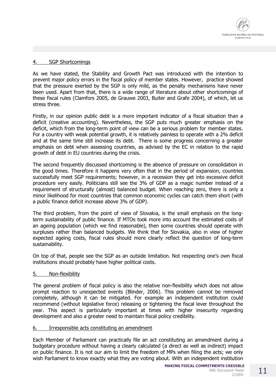

#### 4. SGP Shortcomings

As we have stated, the Stability and Growth Pact was introduced with the intention to prevent major policy errors in the fiscal policy of member states. However, practice showed that the pressure exerted by the SGP is only mild, as the penalty mechanisms have never been used. Apart from that, there is a wide range of literature about other shortcomings of these fiscal rules (Clamfors 2005, de Grauwe 2003, Buiter and Grafe 2004), of which, let us stress three.

Firstly, in our opinion public debt is a more important indicator of a fiscal situation than a deficit (creative accounting). Nevertheless, the SGP puts much greater emphasis on the deficit, which from the long-term point of view can be a serious problem for member states. For a country with weak potential growth, it is relatively painless to operate with a 2% deficit and at the same time still increase its debt. There is some progress concerning a greater emphasis on debt when assessing countries, as advised by the EC in relation to the rapid growth of debt in EU countries during the crisis.

The second frequently discussed shortcoming is the absence of pressure on consolidation in the good times. Therefore it happens very often that in the period of expansion, countries successfully meet SGP requirements; however, in a recession they get into excessive deficit procedure very easily. Politicians still see the 3% of GDP as a magic number instead of a requirement of structurally (almost) balanced budget. When reaching zero, there is only a minor likelihood for most countries that common economic cycles can catch them short (with a public finance deficit increase above 3% of GDP).

The third problem, from the point of view of Slovakia, is the small emphasis on the longterm sustainability of public finance. If MTOs took more into account the estimated costs of an ageing population (which we find reasonable), then some countries should operate with surpluses rather than balanced budgets. We think that for Slovakia, also in view of higher expected ageing costs, fiscal rules should more clearly reflect the question of long-term sustainability.

On top of that, people see the SGP as an outside limitation. Not respecting one's own fiscal institutions should probably have higher political costs.

#### 5. Non-flexibility

The general problem of fiscal policy is also the relative non-flexibility which does not allow prompt reaction to unexpected events (Blinder, 2006). This problem cannot be removed completely, although it can be mitigated. For example an independent institution could recommend (without legislative force) releasing or tightening the fiscal lever throughout the year. This aspect is particularly important at times with higher insecurity regarding development and also a greater need to maintain fiscal policy credibility.

#### 6. Irresponsible acts constituting an amendment

Each Member of Parliament can practically file an act constituting an amendment during a budgetary procedure without having a clearly calculated (a direct as well as indirect) impact on public finance. It is not our aim to limit the freedom of MPs when filing the acts; we only wish Parliament to know exactly what they are voting about. With an independent institution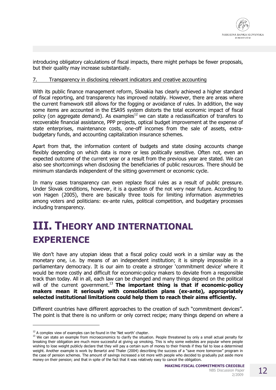

introducing obligatory calculations of fiscal impacts, there might perhaps be fewer proposals, but their quality may increase substantially.

#### 7. Transparency in disclosing relevant indicators and creative accounting

With its public finance management reform, Slovakia has clearly achieved a higher standard of fiscal reporting, and transparency has improved notably. However, there are areas where the current framework still allows for the fogging or avoidance of rules. In addition, the way some items are accounted in the ESA95 system distorts the total economic impact of fiscal policy (on aggregate demand). As examples<sup>12</sup> we can state a reclassification of transfers to recoverable financial assistance, PPP projects, optical budget improvement at the expense of state enterprises, maintenance costs, one-off incomes from the sale of assets, extrabudgetary funds, and accounting capitalization insurance schemes.

Apart from that, the information content of budgets and state closing accounts change flexibly depending on which data is more or less politically sensitive. Often not, even an expected outcome of the current year or a result from the previous year are stated. We can also see shortcomings when disclosing the beneficiaries of public resources. There should be minimum standards independent of the sitting government or economic cycle.

In many cases transparency can even replace fiscal rules as a result of public pressure. Under Slovak conditions, however, it is a question of the not very near future. According to von Hagen (2005), there are basically three tools for limiting information asymmetries among voters and politicians: ex-ante rules, political competition, and budgetary processes including transparency.

# **III. THEORY AND INTERNATIONAL EXPERIENCE**

We don't have any utopian ideas that a fiscal policy could work in a similar way as the monetary one, i.e. by means of an independent institution; it is simply impossible in a parliamentary democracy. It is our aim to create a stronger 'commitment device' where it would be more costly and difficult for economic-policy makers to deviate from a responsible track than today. All in all, each law can be changed and many things depend on the political will of the current government.<sup>13</sup> **The important thing is that if economic-policy makers mean it seriously with consolidation plans (ex-ante), appropriately selected institutional limitations could help them to reach their aims efficiently.**

Different countries have different approaches to the creation of such "commitment devices". The point is that there is no uniform or only correct recipe; many things depend on where a

-

 $12$  A complex view of examples can be found in the 'Net worth' chapter.

<sup>&</sup>lt;sup>13</sup> We can state an example from microeconomics to clarify the situation. People threatened by only a small actual penalty for breaking their obligation are much more successful at giving up smoking. This is why some websites are popular where people wishing to lose weight publicly declare that they will pay a certain sum of money to their friends if they fail to lose a determined weight. Another example is work by Benartzi and Thaler (2004) describing the success of a "save more tomorrow" program in the case of pension schemes. The amount of savings increased a lot more with people who decided to gradually put aside more money on their pension; and that in spite of the fact that it was relatively easy to cancel the obligation.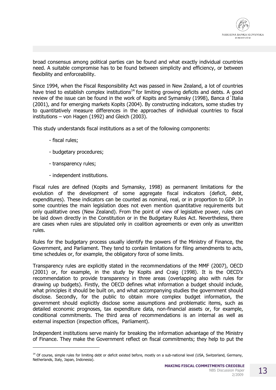

broad consensus among political parties can be found and what exactly individual countries need. A suitable compromise has to be found between simplicity and efficiency, or between flexibility and enforceability.

Since 1994, when the Fiscal Responsibility Act was passed in New Zealand, a lot of countries have tried to establish complex institutions<sup>14</sup> for limiting growing deficits and debts. A good review of the issue can be found in the work of Kopits and Symansky (1998), Banca d´Italia (2001), and for emerging markets Kopits (2004). By constructing indicators, some studies try to quantitatively measure differences in the approaches of individual countries to fiscal institutions – von Hagen (1992) and Gleich (2003).

This study understands fiscal institutions as a set of the following components:

- fiscal rules;

j

- budgetary procedures;
- transparency rules;
- independent institutions.

Fiscal rules are defined (Kopits and Symansky, 1998) as permanent limitations for the evolution of the development of some aggregate fiscal indicators (deficit, debt, expenditures). These indicators can be counted as nominal, real, or in proportion to GDP. In some countries the main legislation does not even mention quantitative requirements but only qualitative ones (New Zealand). From the point of view of legislative power, rules can be laid down directly in the Constitution or in the Budgetary Rules Act. Nevertheless, there are cases when rules are stipulated only in coalition agreements or even only as unwritten rules.

Rules for the budgetary process usually identify the powers of the Ministry of Finance, the Government, and Parliament. They tend to contain limitations for filing amendments to acts, time schedules or, for example, the obligatory force of some limits.

Transparency rules are explicitly stated in the recommendations of the MMF (2007), OECD (2001) or, for example, in the study by Kopits and Craig (1998). It is the OECD's recommendation to provide transparency in three areas (overlapping also with rules for drawing up budgets). Firstly, the OECD defines what information a budget should include, what principles it should be built on, and what accompanying studies the government should disclose. Secondly, for the public to obtain more complex budget information, the government should explicitly disclose some assumptions and problematic items, such as detailed economic prognoses, tax expenditure data, non-financial assets or, for example, conditional commitments. The third area of recommendations is an internal as well as external inspection (inspection offices, Parliament).

Independent institutions serve mainly for breaking the information advantage of the Ministry of Finance. They make the Government reflect on fiscal commitments; they help to put the

<sup>&</sup>lt;sup>14</sup> Of course, simple rules for limiting debt or deficit existed before, mostly on a sub-national level (USA, Switzerland, Germany, Netherlands, Italy, Japan, Indonesia).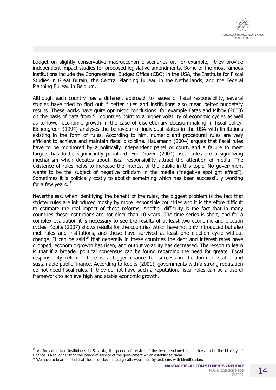budget on slightly conservative macroeconomic scenarios or, for example, they provide independent impact studies for proposed legislative amendments. Some of the most famous institutions include the Congressional Budget Office (CBO) in the USA, the Institute for Fiscal Studies in Great Britain, the Central Planning Bureau in the Netherlands, and the Federal Planning Bureau in Belgium.

Although each country has a different approach to issues of fiscal responsibility, several studies have tried to find out if better rules and institutions also mean better budgetary results. These works have quite optimistic conclusions: for example Fatas and Mihov (2003) on the basis of data from 51 countries point to a higher volatility of economic cycles as well as to lower economic growth in the case of discretionary decision-making in fiscal policy. Eichengreen (1994) analyses the behaviour of individual states in the USA with limitations existing in the form of rules. According to him, numeric and procedural rules are very efficient to achieve and maintain fiscal discipline. Hausmann (2004) argues that fiscal rules have to be monitored by a politically independent panel or court, and a failure to meet targets has to be significantly penalized. For Drazen (2004) fiscal rules are a signalizing mechanism when debates about fiscal responsibility attract the attention of media. The existence of rules helps to increase the interest of the public in this topic. No government wants to be the subject of negative criticism in the media ("negative spotlight effect"). Sometimes it is politically costly to abolish something which has been successfully working for a few years. $^{15}$ 

Nevertheless, when identifying the benefit of the rules, the biggest problem is the fact that stricter rules are introduced mostly by more responsible countries and it is therefore difficult to estimate the real impact of these reforms. Another difficulty is the fact that in many countries these institutions are not older than 10 years. The time series is short, and for a complex evaluation it is necessary to see the results of at least two economic and election cycles. Kopits (2007) shows results for the countries which have not only introduced but also met rules and institutions, and these have survived at least one election cycle without change. It can be said<sup>16</sup> that generally in these countries the debt and interest rates have dropped, economic growth has risen, and output volatility has decreased. The lesson to learn is that if a broader political consensus can be found regarding the need for greater fiscal responsibility reform, there is a bigger chance for success in the form of stable and sustainable public finance. According to Kopits (2001), governments with a strong reputation do not need fiscal rules. If they do not have such a reputation, fiscal rules can be a useful framework to achieve high and stable economic growth.

-

<sup>&</sup>lt;sup>15</sup> As for authorized institutions in Slovakia, the period of service of the two mentioned committees under the Ministry of Finance is also longer than the period of service of the government which established them.

<sup>&</sup>lt;sup>16</sup> We have to bear in mind that these conclusions are greatly weakened by problems with identification.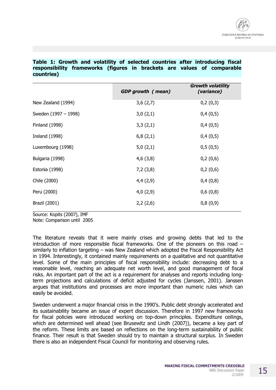#### **Table 1: Growth and volatility of selected countries after introducing fiscal responsibility frameworks (figures in brackets are values of comparable countries)**

|                       | <b>GDP</b> growth (mean) | <b>Growth volatility</b><br>(variance) |
|-----------------------|--------------------------|----------------------------------------|
| New Zealand (1994)    | 3,6(2,7)                 | 0,2(0,3)                               |
| Sweden (1997 - 1998)  | 3,0(2,1)                 | 0,4(0,5)                               |
| <b>Finland (1998)</b> | 3,3(2,1)                 | 0,4(0,5)                               |
| <b>Ireland (1998)</b> | 6,8(2,1)                 | 0,4(0,5)                               |
| Luxembourg (1998)     | 5,0(2,1)                 | 0,5(0,5)                               |
| Bulgaria (1998)       | 4,6(3,8)                 | 0,2(0,6)                               |
| Estonia (1998)        | 7,2(3,8)                 | 0,2(0,6)                               |
| Chile (2000)          | 4,4(2,9)                 | 0,4(0,8)                               |
| Peru (2000)           | 4,0(2,9)                 | 0,6(0,8)                               |
| <b>Brazil (2001)</b>  | 2,2(2,6)                 | 0,8(0,9)                               |

Source: Kopits (2007), IMF

Note: Comparison until 2005

The literature reveals that it were mainly crises and growing debts that led to the introduction of more responsible fiscal frameworks. One of the pioneers on this road – similarly to inflation targeting – was New Zealand which adopted the Fiscal Responsibility Act in 1994. Interestingly, it contained mainly requirements on a qualitative and not quantitative level. Some of the main principles of fiscal responsibility include: decreasing debt to a reasonable level, reaching an adequate net worth level, and good management of fiscal risks. An important part of the act is a requirement for analyses and reports including longterm projections and calculations of deficit adjusted for cycles (Janssen, 2001). Janssen argues that institutions and processes are more important than numeric rules which can easily be avoided.

Sweden underwent a major financial crisis in the 1990's. Public debt strongly accelerated and its sustainability became an issue of expert discussion. Therefore in 1997 new frameworks for fiscal policies were introduced working on top-down principles. Expenditure ceilings, which are determined well ahead (see Brusewitz and Lindh (2007)), became a key part of the reform. These limits are based on reflections on the long-term sustainability of public finance. Their result is that Sweden should try to maintain a structural surplus. In Sweden there is also an independent Fiscal Council for monitoring and observing rules.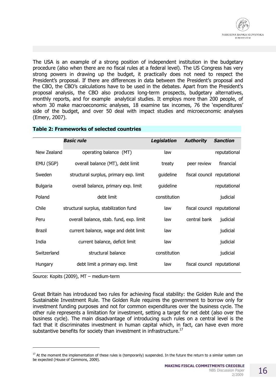

The USA is an example of a strong position of independent institution in the budgetary procedure (also when there are no fiscal rules at a federal level). The US Congress has very strong powers in drawing up the budget, it practically does not need to respect the President's proposal. If there are differences in data between the President's proposal and the CBO, the CBO's calculations have to be used in the debates. Apart from the President's proposal analysis, the CBO also produces long-term prospects, budgetary alternatives, monthly reports, and for example analytical studies. It employs more than 200 people, of whom 30 make macroeconomic analyses, 18 examine tax incomes, 76 the 'expenditures' side of the budget, and over 50 deal with impact studies and microeconomic analyses (Emery, 2007).

|                 | <b>Basic rule</b>                       | <b>Legislation</b> | <b>Authority</b>            | <b>Sanction</b> |
|-----------------|-----------------------------------------|--------------------|-----------------------------|-----------------|
| New Zealand     | operating balance (MT)                  | law                |                             | reputational    |
| EMU (SGP)       | overall balance (MT), debt limit        | treaty             | peer review                 | financial       |
| Sweden          | structural surplus, primary exp. limit  | guideline          | fiscal council reputational |                 |
| <b>Bulgaria</b> | overall balance, primary exp. limit     | guideline          |                             | reputational    |
| Poland          | debt limit                              | constitution       |                             | judicial        |
| Chile           | structural surplus, stabilization fund  | law                | fiscal council reputational |                 |
| Peru            | overall balance, stab. fund, exp. limit | law                | central bank                | judicial        |
| Brazil          | current balance, wage and debt limit    | law                |                             | judicial        |
| India           | current balance, deficit limit          | law                |                             | judicial        |
| Switzerland     | structural balance                      | constitution       |                             | judicial        |
| <b>Hungary</b>  | debt limit a primary exp. limit         | law                | fiscal council reputational |                 |

#### **Table 2: Frameworks of selected countries**

Source: Kopits (2009), MT – medium-term

j

Great Britain has introduced two rules for achieving fiscal stability: the Golden Rule and the Sustainable Investment Rule. The Golden Rule requires the government to borrow only for investment funding purposes and not for common expenditures over the business cycle. The other rule represents a limitation for investment, setting a target for net debt (also over the business cycle). The main disadvantage of introducing such rules on a central level is the fact that it discriminates investment in human capital which, in fact, can have even more substantive benefits for society than investment in infrastructure.<sup>17</sup>

 $17$  At the moment the implementation of these rules is (temporarily) suspended. In the future the return to a similar system can be expected (House of Commons, 2009).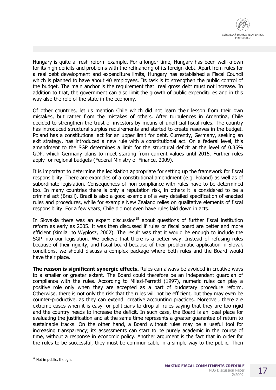

Hungary is quite a fresh reform example. For a longer time, Hungary has been well-known for its high deficits and problems with the refinancing of its foreign debt. Apart from rules for a real debt development and expenditure limits, Hungary has established a Fiscal Council which is planned to have about 40 employees. Its task is to strengthen the public control of the budget. The main anchor is the requirement that real gross debt must not increase. In addition to that, the government can also limit the growth of public expenditures and in this way also the role of the state in the economy.

Of other countries, let us mention Chile which did not learn their lesson from their own mistakes, but rather from the mistakes of others. After turbulences in Argentina, Chile decided to strengthen the trust of investors by means of unofficial fiscal rules. The country has introduced structural surplus requirements and started to create reserves in the budget. Poland has a constitutional act for an upper limit for debt. Currently, Germany, seeking an exit strategy, has introduced a new rule with a constitutional act. On a federal level, this amendment to the SGP determines a limit for the structural deficit at the level of 0.35% GDP, which Germany plans to meet starting from current values until 2015. Further rules apply for regional budgets (Federal Ministry of Finance, 2009).

It is important to determine the legislation appropriate for setting up the framework for fiscal responsibility. There are examples of a constitutional amendment (e.g. Poland) as well as of subordinate legislation. Consequences of non-compliance with rules have to be determined too. In many countries there is only a reputation risk, in others it is considered to be a criminal act (Brazil). Brazil is also a good example of a very detailed specification of enacted rules and procedures, while for example New Zealand relies on qualitative elements of fiscal responsibility. For a few years, Chile did not even have rules laid down in acts.

In Slovakia there was an expert discussion $18$  about questions of further fiscal institution reform as early as 2005. It was then discussed if rules or fiscal board are better and more efficient (similar to Wyplosz, 2002). The result was that it would be enough to include the SGP into our legislation. We believe that there is a better way. Instead of refusing rules because of their rigidity, and fiscal board because of their problematic application in Slovak conditions, we should discuss a complex package where both rules and the Board would have their place.

**The reason is significant synergic effects.** Rules can always be avoided in creative ways to a smaller or greater extent. The Board could therefore be an independent guardian of compliance with the rules. According to Milesi-Ferretti (1997), numeric rules can play a positive role only when they are accepted as a part of budgetary procedure reform. Otherwise, there is not only the risk that the rules will not be efficient, but they may even be counter-productive, as they can extend creative accounting practices. Moreover, there are extreme cases when it is easy for politicians to drop all rules saying that they are too rigid and the country needs to increase the deficit. In such case, the Board is an ideal place for evaluating the justification and at the same time represents a greater guarantee of return to sustainable tracks. On the other hand, a Board without rules may be a useful tool for increasing transparency; its assessments can start to be purely academic in the course of time, without a response in economic policy. Another argument is the fact that in order for the rules to be successful, they must be communicable in a simple way to the public. Then

j

<sup>&</sup>lt;sup>18</sup> Not in public, though.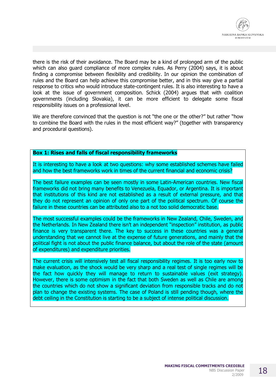

there is the risk of their avoidance. The Board may be a kind of prolonged arm of the public which can also guard compliance of more complex rules. As Perry (2004) says, it is about finding a compromise between flexibility and credibility. In our opinion the combination of rules and the Board can help achieve this compromise better, and in this way give a partial response to critics who would introduce state-contingent rules. It is also interesting to have a look at the issue of government composition. Schick (2004) argues that with coalition governments (including Slovakia), it can be more efficient to delegate some fiscal responsibility issues on a professional level.

We are therefore convinced that the question is not "the one or the other?" but rather "how to combine the Board with the rules in the most efficient way?" (together with transparency and procedural questions).

#### **Box 1: Rises and falls of fiscal responsibility frameworks**

It is interesting to have a look at two questions: why some established schemes have failed and how the best frameworks work in times of the current financial and economic crisis?

The best failure examples can be seen mostly in some Latin-American countries. New fiscal frameworks did not bring many benefits to Venezuela, Equador, or Argentina. It is important that institutions of this kind are not established as a result of external pressure, and that they do not represent an opinion of only one part of the political spectrum. Of course the failure in these countries can be attributed also to a not too solid democratic base.

The most successful examples could be the frameworks in New Zealand, Chile, Sweden, and the Netherlands. In New Zealand there isn't an independent "inspection" institution, as public finance is very transparent there. The key to success in these countries was a general understanding that we cannot live at the expense of future generations, and mainly that the political fight is not about the public finance balance, but about the role of the state (amount of expenditures) and expenditure priorities.

The current crisis will intensively test all fiscal responsibility regimes. It is too early now to make evaluation, as the shock would be very sharp and a real test of single regimes will be the fact how quickly they will manage to return to sustainable values (exit strategy). However, there is some optimism in the fact that both Sweden as well as Chile are among the countries which do not show a significant deviation from responsible tracks and do not plan to change the existing systems. The case of Poland is still pending though, where the debt ceiling in the Constitution is starting to be a subject of intense political discussion.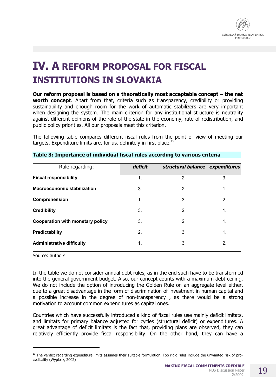

# **IV. A REFORM PROPOSAL FOR FISCAL INSTITUTIONS IN SLOVAKIA**

**Our reform proposal is based on a theoretically most acceptable concept – the net worth concept**. Apart from that, criteria such as transparency, credibility or providing sustainability and enough room for the work of automatic stabilizers are very important when designing the system. The main criterion for any institutional structure is neutrality against different opinions of the role of the state in the economy, rate of redistribution, and public policy priorities. All our proposals meet this criterion.

The following table compares different fiscal rules from the point of view of meeting our targets. Expenditure limits are, for us, definitely in first place. $19$ 

| Rule regarding:                         | deficit       | structural balance expenditures |                |
|-----------------------------------------|---------------|---------------------------------|----------------|
| <b>Fiscal responsibility</b>            | 1.            | 2.                              | 3.             |
| <b>Macroeconomic stabilization</b>      | 3.            | 2.                              | $\mathbf 1$ .  |
| Comprehension                           | 1.            | 3.                              | 2.             |
| <b>Credibility</b>                      | 3.            | 2.                              | $\mathbf{1}$ . |
| <b>Cooperation with monetary policy</b> | 3.            | 2.                              | $\mathbf 1$ .  |
| Predictability                          | 2.            | 3.                              | 1.             |
| <b>Administrative difficulty</b>        | $\mathbf 1$ . | 3.                              | 2.             |

#### **Table 3: Importance of individual fiscal rules according to various criteria**

Source: authors

j

In the table we do not consider annual debt rules, as in the end such have to be transformed into the general government budget. Also, our concept counts with a maximum debt ceiling. We do not include the option of introducing the Golden Rule on an aggregate level either, due to a great disadvantage in the form of discrimination of investment in human capital and a possible increase in the degree of non-transparency , as there would be a strong motivation to account common expenditures as capital ones.

Countries which have successfully introduced a kind of fiscal rules use mainly deficit limitats, and limitats for primary balance adjusted for cycles (structural deficit) or expenditures. A great advantage of deficit limitats is the fact that, providing plans are observed, they can relatively efficiently provide fiscal responsibility. On the other hand, they can have a

<sup>&</sup>lt;sup>19</sup> The verdict regarding expenditure limits assumes their suitable formulation. Too rigid rules include the unwanted risk of procyclicality (Wyplosz, 2002)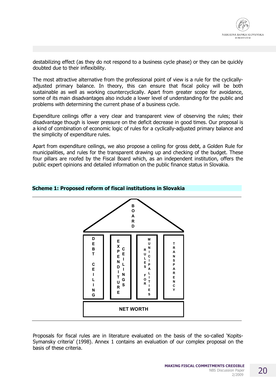

destabilizing effect (as they do not respond to a business cycle phase) or they can be quickly doubted due to their inflexibility.

The most attractive alternative from the professional point of view is a rule for the cyclicallyadjusted primary balance. In theory, this can ensure that fiscal policy will be both sustainable as well as working countercyclically. Apart from greater scope for avoidance, some of its main disadvantages also include a lower level of understanding for the public and problems with determining the current phase of a business cycle.

Expenditure ceilings offer a very clear and transparent view of observing the rules; their disadvantage though is lower pressure on the deficit decrease in good times. Our proposal is a kind of combination of economic logic of rules for a cyclically-adjusted primary balance and the simplicity of expenditure rules.

Apart from expenditure ceilings, we also propose a ceiling for gross debt, a Golden Rule for municipalities, and rules for the transparent drawing up and checking of the budget. These four pillars are roofed by the Fiscal Board which, as an independent institution, offers the public expert opinions and detailed information on the public finance status in Slovakia.



#### **Scheme 1: Proposed reform of fiscal institutions in Slovakia**

Proposals for fiscal rules are in literature evaluated on the basis of the so-called 'Kopits-Symansky criteria' (1998). Annex 1 contains an evaluation of our complex proposal on the basis of these criteria.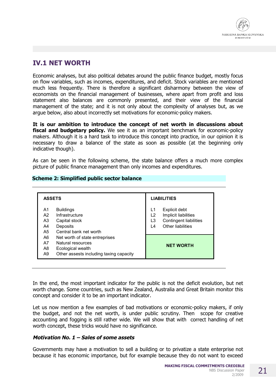# **IV.1 NET WORTH**

Economic analyses, but also political debates around the public finance budget, mostly focus on flow variables, such as incomes, expenditures, and deficit. Stock variables are mentioned much less frequently. There is therefore a significant disharmony between the view of economists on the financial management of businesses, where apart from profit and loss statement also balances are commonly presented, and their view of the financial management of the state; and it is not only about the complexity of analyses but, as we argue below, also about incorrectly set motivations for economic-policy makers.

**It is our ambition to introduce the concept of net worth in discussions about fiscal and budgetary policy.** We see it as an important benchmark for economic-policy makers. Although it is a hard task to introduce this concept into practice, in our opinion it is necessary to draw a balance of the state as soon as possible (at the beginning only indicative though).

As can be seen in the following scheme, the state balance offers a much more complex picture of public finance management than only incomes and expenditures.

#### **Scheme 2: Simplified public sector balance**

| <b>ASSETS</b>              |                                                                                                                     |                      | <b>LIABILITIES</b>                                                                          |
|----------------------------|---------------------------------------------------------------------------------------------------------------------|----------------------|---------------------------------------------------------------------------------------------|
| A1<br>A2<br>A3<br>A4<br>A5 | <b>Buildings</b><br>Infrastructure<br>Capital stock<br>Deposits<br>Central bank net worth                           | L1<br>L2<br>L3<br>L4 | Explicit debt<br>Implicit liabilities<br><b>Contingent liabilities</b><br>Other liabilities |
| A6<br>A7<br>A8<br>A9       | Net worth of state entreprises<br>Natural resources<br>Ecological wealth<br>Other assests including taxing capacity |                      | <b>NET WORTH</b>                                                                            |

In the end, the most important indicator for the public is not the deficit evolution, but net worth change. Some countries, such as New Zealand, Australia and Great Britain monitor this concept and consider it to be an important indicator.

Let us now mention a few examples of bad motivations or economic-policy makers, if only the budget, and not the net worth, is under public scrutiny. Then scope for creative accounting and fogging is still rather wide. We will show that with correct handling of net worth concept, these tricks would have no significance.

#### *Motivation No. 1 – Sales of some assets*

Governments may have a motivation to sell a building or to privatize a state enterprise not because it has economic importance, but for example because they do not want to exceed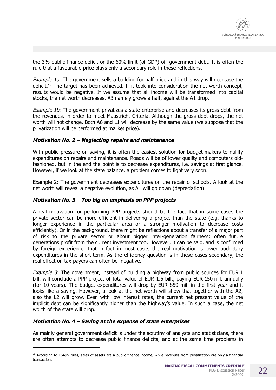the 3% public finance deficit or the 60% limit (of GDP) of government debt. It is often the rule that a favourable price plays only a secondary role in these reflections.

*Example 1a*: The government sells a building for half price and in this way will decrease the deficit.<sup>20</sup> The target has been achieved. If it took into consideration the net worth concept, results would be negative. If we assume that all income will be transformed into capital stocks, the net worth decreases. A3 namely grows a half, against the A1 drop.

*Example 1b*: The government privatizes a state enterprise and decreases its gross debt from the revenues, in order to meet Maastricht Criteria. Although the gross debt drops, the net worth will not change. Both A6 and L1 will decrease by the same value (we suppose that the privatization will be performed at market price).

#### *Motivation No. 2 – Neglecting repairs and maintenance*

With public pressure on saving, it is often the easiest solution for budget-makers to nullify expenditures on repairs and maintenance. Roads will be of lower quality and computers oldfashioned, but in the end the point is to decrease expenditures, i.e. savings at first glance. However, if we look at the state balance, a problem comes to light very soon.

Example 2: The government decreases expenditures on the repair of schools. A look at the net worth will reveal a negative evolution, as A1 will go down (depreciation).

#### *Motivation No. 3 – Too big an emphasis on PPP projects*

A real motivation for performing PPP projects should be the fact that in some cases the private sector can be more efficient in delivering a project than the state (e.g. thanks to longer experience in the particular area or a stronger motivation to decrease costs efficiently). Or in the background, there might be reflections about a transfer of a major part of risk to the private sector or about bigger inter-generation fairness: often future generations profit from the current investment too. However, it can be said, and is confirmed by foreign experience, that in fact in most cases the real motivation is lower budgetary expenditures in the short-term. As the efficiency question is in these cases secondary, the real effect on tax-payers can often be negative.

*Example 3*: The government, instead of building a highway from public sources for EUR 1 bill. will conclude a PPP project of total value of EUR 1.5 bill., paying EUR 150 mil. annually (for 10 years). The budget expenditures will drop by EUR 850 mil. in the first year and it looks like a saving. However, a look at the net worth will show that together with the A2, also the L2 will grow. Even with low interest rates, the current net present value of the implicit debt can be significantly higher than the highway's value. In such a case, the net worth of the state will drop.

#### *Motivation No. 4 – Saving at the expense of state enterprises*

j

As mainly general government deficit is under the scrutiny of analysts and statisticians, there are often attempts to decrease public finance deficits, and at the same time problems in

 $20$  According to ESA95 rules, sales of assets are a public finance income, while revenues from privatization are only a financial transaction.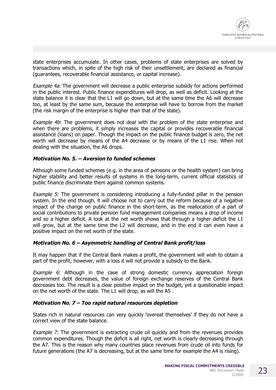

state enterprises accumulate. In other cases, problems of state enterprises are solved by transactions which, in spite of the high risk of their unsettlement, are declared as financial (guarantees, recoverable financial assistance, or capital increase).

*Example 4a*: The government will decrease a public enterprise subsidy for actions performed in the public interest. Public finance expenditures will drop, as well as deficit. Looking at the state balance it is clear that the L1 will go down, but at the same time the A6 will decrease too, at least by the same sum, because the enterprise will have to borrow from the market (the risk margin of the enterprise is higher than that of the state).

*Example 4b*: The government does not deal with the problem of the state enterprise and when there are problems, it simply increases the capital or provides recoverable financial assistance (loans) on paper. Though the impact on the public finance budget is zero, the net worth will decrease by means of the A4 decrease or by means of the L1 rise. When not dealing with the situation, the A6 drops.

#### *Motivation No. 5. – Aversion to funded schemes*

Although some funded schemes (e.g. in the area of pensions or the health system) can bring higher stability and better results of systems in the long-term, current official statistics of public finance discriminate them against common systems.

*Example 5*: The government is considering introducing a fully-funded pillar in the pension system. In the end though, it will choose not to carry out the reform because of a negative impact of the change on public finance in the short-term, as the reallocation of a part of social contributions to private pension fund management companies means a drop of income and so a higher deficit. A look at the net worth shows that through a higher deficit the L1 will grow, but at the same time the L2 will decrease, and in the end it can even have a positive impact on the net worth of the state.

#### *Motivation No. 6 – Asymmetric handling of Central Bank profit/loss*

It may happen that if the Central Bank makes a profit, the government will wish to obtain a part of the profit; however, with a loss it will not provide a subsidy to the Bank.

*Example 6*: Although in the case of strong domestic currency appreciation foreign government debt decreases, the value of foreign exchange reserves of the Central Bank decreases too. The result is a clear positive impact on the budget, yet a questionable impact on the net worth of the state. The L1 will drop, as will the A5 .

#### *Motivation No. 7 – Too rapid natural resources depletion*

States rich in natural resources can very quickly 'overeat themselves' if they do not have a correct view of the state balance.

*Example 7:* The government is extracting crude oil quickly and from the revenues provides common expenditures. Though the deficit is all right, net worth is clearly decreasing through the A7. This is the reason why many countries place revenues from crude oil into funds for future generations (the A7 is decreasing, but at the same time for example the A4 is rising).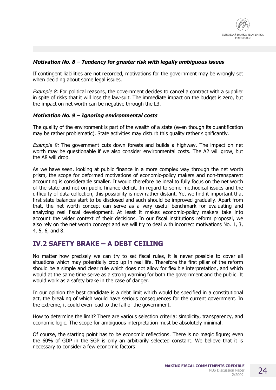

#### *Motivation No. 8 – Tendency for greater risk with legally ambiguous issues*

If contingent liabilities are not recorded, motivations for the government may be wrongly set when deciding about some legal issues.

*Example 8:* For political reasons, the government decides to cancel a contract with a supplier in spite of risks that it will lose the law-suit. The immediate impact on the budget is zero, but the impact on net worth can be negative through the L3.

#### *Motivation No. 9 – Ignoring environmental costs*

The quality of the environment is part of the wealth of a state (even though its quantification may be rather problematic). State activities may disturb this quality rather significantly.

*Example 9:* The government cuts down forests and builds a highway. The impact on net worth may be questionable if we also consider environmental costs. The A2 will grow, but the A8 will drop.

As we have seen, looking at public finance in a more complex way through the net worth prism, the scope for deformed motivations of economic-policy makers and non-transparent accounting is considerable smaller. It would therefore be ideal to fully focus on the net worth of the state and not on public finance deficit. In regard to some methodical issues and the difficulty of data collection, this possibility is now rather distant. Yet we find it important that first state balances start to be disclosed and such should be improved gradually. Apart from that, the net worth concept can serve as a very useful benchmark for evaluating and analyzing real fiscal development. At least it makes economic-policy makers take into account the wider context of their decisions. In our fiscal institutions reform proposal, we also rely on the net worth concept and we will try to deal with incorrect motivations No. 1, 3, 4, 5, 6, and 8.

### **IV.2 SAFETY BRAKE – A DEBT CEILING**

No matter how precisely we can try to set fiscal rules, it is never possible to cover all situations which may potentially crop up in real life. Therefore the first pillar of the reform should be a simple and clear rule which does not allow for flexible interpretation, and which would at the same time serve as a strong warning for both the government and the public. It would work as a safety brake in the case of danger.

In our opinion the best candidate is a debt limit which would be specified in a constitutional act, the breaking of which would have serious consequences for the current government. In the extreme, it could even lead to the fall of the government.

How to determine the limit? There are various selection criteria: simplicity, transparency, and economic logic. The scope for ambiguous interpretation must be absolutely minimal.

Of course, the starting point has to be economic reflections. There is no magic figure; even the 60% of GDP in the SGP is only an arbitrarily selected constant. We believe that it is necessary to consider a few economic factors: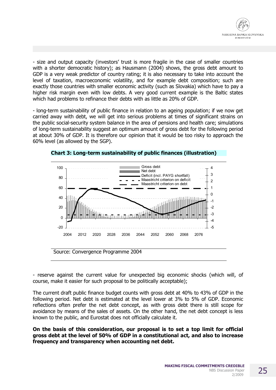

- size and output capacity (investors' trust is more fragile in the case of smaller countries with a shorter democratic history); as Hausmann (2004) shows, the gross debt amount to GDP is a very weak predictor of country rating; it is also necessary to take into account the level of taxation, macroeconomic volatility, and for example debt composition; such are exactly those countries with smaller economic activity (such as Slovakia) which have to pay a higher risk margin even with low debts. A very good current example is the Baltic states which had problems to refinance their debts with as little as 20% of GDP.

- long-term sustainability of public finance in relation to an ageing population; if we now get carried away with debt, we will get into serious problems at times of significant strains on the public social-security system balance in the area of pensions and health care; simulations of long-term sustainability suggest an optimum amount of gross debt for the following period at about 30% of GDP. It is therefore our opinion that it would be too risky to approach the 60% level (as allowed by the SGP).



**Chart 3: Long-term sustainability of public finances (illustration)** 

- reserve against the current value for unexpected big economic shocks (which will, of course, make it easier for such proposal to be politically acceptable);

The current draft public finance budget counts with gross debt at 40% to 43% of GDP in the following period. Net debt is estimated at the level lower at 3% to 5% of GDP. Economic reflections often prefer the net debt concept, as with gross debt there is still scope for avoidance by means of the sales of assets. On the other hand, the net debt concept is less known to the public, and Eurostat does not officially calculate it.

**On the basis of this consideration, our proposal is to set a top limit for official gross debt at the level of 50% of GDP in a constitutional act, and also to increase frequency and transparency when accounting net debt.**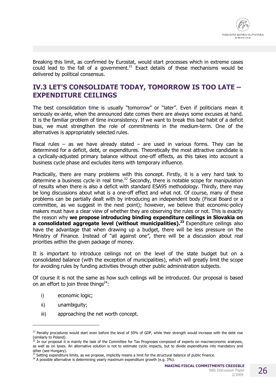

Breaking this limit, as confirmed by Eurostat, would start processes which in extreme cases could lead to the fall of a government.<sup>21</sup> Exact details of these mechanisms would be delivered by political consensus.

## **IV.3 LET'S CONSOLIDATE TODAY, TOMORROW IS TOO LATE – EXPENDITURE CEILINGS**

The best consolidation time is usually "tomorrow" or "later". Even if politicians mean it seriously ex-ante, when the announced date comes there are always some excuses at hand. It is the familiar problem of time inconsistency. If we want to break this bad habit of a deficit bias, we must strengthen the role of commitments in the medium-term. One of the alternatives is appropriately selected rules.

Fiscal rules – as we have already stated – are used in various forms. They can be determined for a deficit, debt, or expenditures. Theoretically the most attractive candidate is a cyclically-adjusted primary balance without one-off effects, as this takes into account a business cycle phase and excludes items with temporary influence.

Practically, there are many problems with this concept. Firstly, it is a very hard task to determine a business cycle in real time.<sup>22</sup> Secondly, there is notable scope for manipulation of results when there is also a deficit with standard ESA95 methodology. Thirdly, there may be long discussions about what is a one-off effect and what not. Of course, many of these problems can be partially dealt with by introducing an independent body (Fiscal Board or a committee, as we suggest in the next point); however, we believe that economic-policy makers must have a clear view of whether they are observing the rules or not. This is exactly the reason why **we propose introducing binding expenditure ceilings in Slovakia on a consolidated aggregate level (without municipalities).<sup>23</sup>** Expenditure ceilings also have the advantage that when drawing up a budget, there will be less pressure on the Ministry of Finance. Instead of "all against one", there will be a discussion about real priorities within the given package of money.

It is important to introduce ceilings not on the level of the state budget but on a consolidated balance (with the exception of municipalities), which will greatly limit the scope for avoiding rules by funding activities through other public administration subjects.

Of course it is not the same as how such ceilings will be introduced. Our proposal is based on an effort to join three things $24$ :

- i) economic logic;
- ii) unambiguity;

-

iii) approaching the net worth concept.

2/2009

<sup>&</sup>lt;sup>21</sup> Penalty procedures would start even before the level of 50% of GDP, while their strength would increase with the debt rise (similarly to Poland).

 $^{22}$  In our proposal it is mainly the task of the Committee for Tax Prognoses composed of experts on macroeconomic analyses, as well as on taxes. An alternative solution is not to estimate cyclic impacts, but to divide expenditures into mandatory and other (see Hungary).

 $^{23}$  Setting expenditure limits, as we propose, implicitly means a limit for the structural balance of public finance.

 $^{24}$  A possible alternative is determining yearly maximum expenditure growth (e.g. 3%).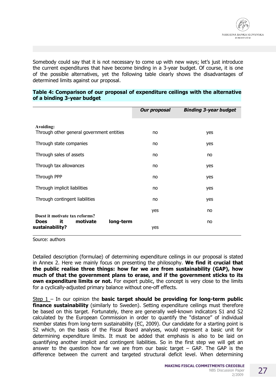

Somebody could say that it is not necessary to come up with new ways; let's just introduce the current expenditures that have become binding in a 3-year budget. Of course, it is one of the possible alternatives, yet the following table clearly shows the disadvantages of determined limits against our proposal.

| Table 4: Comparison of our proposal of expenditure ceilings with the alternative |  |  |
|----------------------------------------------------------------------------------|--|--|
| of a binding 3-year budget                                                       |  |  |

|                                                               | <b>Our proposal</b> | <b>Binding 3-year budget</b> |
|---------------------------------------------------------------|---------------------|------------------------------|
| Avoiding:<br>Through other general government entities        | no                  | yes                          |
| Through state companies                                       | no                  | yes                          |
| Through sales of assets                                       | no                  | no                           |
| Through tax allowances                                        | no                  | yes                          |
| Through PPP                                                   | no                  | yes                          |
| Through implicit liabilities                                  | no                  | yes                          |
| Through contingent liabilities                                | no                  | yes                          |
| Doest it motivate tax reforms?                                | yes                 | no                           |
| motivate<br>long-term<br>it<br><b>Does</b><br>sustainability? | yes                 | no                           |

Source: authors

Detailed description (formulae) of determining expenditure ceilings in our proposal is stated in Annex 2. Here we mainly focus on presenting the philosophy. **We find it crucial that the public realise three things: how far we are from sustainability (GAP), how much of that the government plans to erase, and if the government sticks to its own expenditure limits or not.** For expert public, the concept is very close to the limits for a cyclically-adjusted primary balance without one-off effects.

Step 1 – In our opinion the **basic target should be providing for long-term public finance sustainability** (similarly to Sweden). Setting expenditure ceilings must therefore be based on this target. Fortunately, there are generally well-known indicators S1 and S2 calculated by the European Commission in order to quantify the "distance" of individual member states from long-term sustainability (EC, 2009). Our candidate for a starting point is S2 which, on the basis of the Fiscal Board analyses, would represent a basic unit for determining expenditure limits. It must be added that emphasis is also to be laid on quantifying another implicit and contingent liabilities. So in the first step we will get an answer to the question how far we are from our basic target  $-$  GAP. The GAP is the difference between the current and targeted structural deficit level. When determining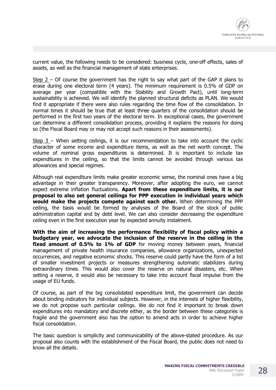current value, the following needs to be considered: business cycle, one-off effects, sales of assets, as well as the financial management of state enterprises.

Step  $2 -$  Of course the government has the right to say what part of the GAP it plans to erase during one electoral term (4 years). The minimum requirement is 0.5% of GDP on average per year (compatible with the Stability and Growth Pact), until long-term sustainability is achieved. We will identify the planned structural deficits as PLAN. We would find it appropriate if there were also rules regarding the time flow of the consolidation. In normal times it should be true that at least three quarters of the consolidation should be performed in the first two years of the electoral term. In exceptional cases, the government can determine a different consolidation process, providing it explains the reasons for doing so (the Fiscal Board may or may not accept such reasons in their assessments).

Step 3 – When setting ceilings, it is our recommendation to take into account the cyclic character of some income and expenditure items, as well as the net worth concept. The volume of nominal gross expenditures is determined. It is important to include tax expenditures in the ceiling, so that the limits cannot be avoided through various tax allowances and special regimes.

Although real expenditure limits make greater economic sense, the nominal ones have a big advantage in their greater transparency. Moreover, after adopting the euro, we cannot expect extreme inflation fluctuations. **Apart from these expenditure limits, it is our proposal to also set general ceilings for PPP execution in individual years which would make the projects compete against each other.** When determining the PPP ceiling, the basis would be formed by analyses of the Board of the stock of public administration capital and by debt level. We can also consider decreasing the expenditure ceiling even in the first execution year by expected annuity instalment.

**With the aim of increasing the performance flexibility of fiscal policy within a budgetary year, we advocate the inclusion of the reserve in the ceiling in the fixed amount of 0.5% to 1% of GDP** for moving money between years, financial management of private health insurance companies, allowance organizations, unexpected occurrences, and negative economic shocks. This reserve could partly have the form of a list of smaller investment projects or measures strengthening automatic stabilizers during extraordinary times. This would also cover the reserve on natural disasters, etc. When setting a reserve, it would also be necessary to take into account fiscal impulse from the usage of EU funds.

Of course, as part of the big consolidated expenditure limit, the government can decide about binding indicators for individual subjects. However, in the interests of higher flexibility, we do not propose such particular ceilings. We do not find it important to break down expenditures into mandatory and discrete either, as the border between these categories is fragile and the government also has the option to amend acts in order to achieve higher fiscal consolidation.

The basic question is simplicity and communicability of the above-stated procedure. As our proposal also counts with the establishment of the Fiscal Board, the public does not need to know all the details.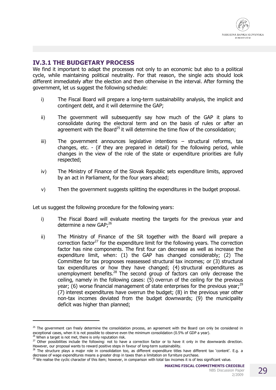### **IV.3.1 THE BUDGETARY PROCESS**

We find it important to adapt the processes not only to an economic but also to a political cycle, while maintaining political neutrality. For that reason, the single acts should look different immediately after the election and then otherwise in the interval. After forming the government, let us suggest the following schedule:

- i) The Fiscal Board will prepare a long-term sustainability analysis, the implicit and contingent debt, and it will determine the GAP;
- ii) The government will subsequently say how much of the GAP it plans to consolidate during the electoral term and on the basis of rules or after an agreement with the Board<sup>25</sup> it will determine the time flow of the consolidation;
- iii) The government announces legislative intentions structural reforms, tax changes, etc. - (if they are prepared in detail) for the following period, while changes in the view of the role of the state or expenditure priorities are fully respected;
- iv) The Ministry of Finance of the Slovak Republic sets expenditure limits, approved by an act in Parliament, for the four years ahead;
- v) Then the government suggests splitting the expenditures in the budget proposal.

Let us suggest the following procedure for the following years:

- i) The Fiscal Board will evaluate meeting the targets for the previous year and determine a new GAP;<sup>26</sup>
- ii) The Ministry of Finance of the SR together with the Board will prepare a correction factor<sup>27</sup> for the expenditure limit for the following years. The correction factor has nine components. The first four can decrease as well as increase the expenditure limit, when: (1) the GAP has changed considerably; (2) The Committee for tax prognoses reassessed structural tax incomes; or (3) structural tax expenditures or how they have changed; (4) structural expenditures as unemployment benefits.<sup>28</sup> The second group of factors can only decrease the ceiling, namely in the following cases: (5) overrun of the ceiling for the previous year; (6) worse financial management of state enterprises for the previous year;<sup>29</sup> (7) interest expenditures have overrun the budget; (8) in the previous year other non-tax incomes deviated from the budget downwards; (9) the municipality deficit was higher than planned;

j

 $25$  The government can freely determine the consolidation process, an agreement with the Board can only be considered in exceptional cases, when it is not possible to observe even the minimum consolidation (0.5% of GDP a year).

<sup>&</sup>lt;sup>26</sup> When a target is not met, there is only reputation risk.

<sup>&</sup>lt;sup>27</sup> Other possibilities include the following: not to have a correction factor or to have it only in the downwards direction. However, our proposal wants to reward positive steps in favour of long-term sustainability.

<sup>28</sup> The structure plays a major role in consolidation too, as different expenditure titles have different tax 'content'. E.g. a decrease of wage expenditures means a greater drop in taxes than a limitation on furniture purchase.

<sup>&</sup>lt;sup>29</sup> We realise the cyclic character of this item; however, in comparison with total tax incomes it is of less significant value.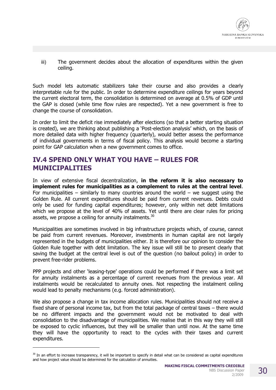

iii) The government decides about the allocation of expenditures within the given ceiling.

Such model lets automatic stabilizers take their course and also provides a clearly interpretable rule for the public. In order to determine expenditure ceilings for years beyond the current electoral term, the consolidation is determined on average at 0.5% of GDP until the GAP is closed (while time flow rules are respected). Yet a new government is free to change the course of consolidation.

In order to limit the deficit rise immediately after elections (so that a better starting situation is created), we are thinking about publishing a 'Post-election analysis' which, on the basis of more detailed data with higher frequency (quarterly), would better assess the performance of individual governments in terms of fiscal policy. This analysis would become a starting point for GAP calculation when a new government comes to office.

### **IV.4 SPEND ONLY WHAT YOU HAVE – RULES FOR MUNICIPALITIES**

In view of extensive fiscal decentralization, **in the reform it is also necessary to implement rules for municipalities as a complement to rules at the central level**. For municipalities – similarly to many countries around the world – we suggest using the Golden Rule. All current expenditures should be paid from current revenues. Debts could only be used for funding capital expenditures; however, only within net debt limitations which we propose at the level of 40% of assets. Yet until there are clear rules for pricing assets, we propose a ceiling for annuity instalments.<sup>30</sup>

Municipalities are sometimes involved in big infrastructure projects which, of course, cannot be paid from current revenues. Moreover, investments in human capital are not largely represented in the budgets of municipalities either. It is therefore our opinion to consider the Golden Rule together with debt limitation. The key issue will still be to present clearly that saving the budget at the central level is out of the question (no bailout policy) in order to prevent free-rider problems.

PPP projects and other 'leasing-type' operations could be performed if there was a limit set for annuity instalments as a percentage of current revenues from the previous year. All instalments would be recalculated to annuity ones. Not respecting the instalment ceiling would lead to penalty mechanisms (e.g. forced administration).

We also propose a change in tax income allocation rules. Municipalities should not receive a fixed share of personal income tax, but from the total package of central taxes – there would be no different impacts and the government would not be motivated to deal with consolidation to the disadvantage of municipalities. We realise that in this way they will still be exposed to cyclic influences, but they will be smaller than until now. At the same time they will have the opportunity to react to the cycles with their taxes and current expenditures.

j

 $30$  In an effort to increase transparency, it will be important to specify in detail what can be considered as capital expenditures and how project value should be determined for the calculation of annuities.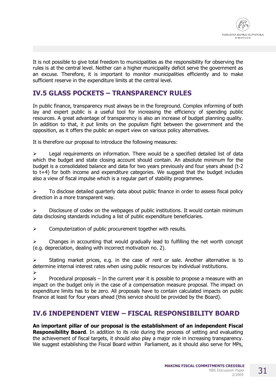

It is not possible to give total freedom to municipalities as the responsibility for observing the rules is at the central level. Neither can a higher municipality deficit serve the government as an excuse. Therefore, it is important to monitor municipalities efficiently and to make sufficient reserve in the expenditure limits at the central level.

### **IV.5 GLASS POCKETS – TRANSPARENCY RULES**

In public finance, transparency must always be in the foreground. Complex informing of both lay and expert public is a useful tool for increasing the efficiency of spending public resources. A great advantage of transparency is also an increase of budget planning quality. In addition to that, it put limits on the populism fight between the government and the opposition, as it offers the public an expert view on various policy alternatives.

It is therefore our proposal to introduce the following measures:

 $\triangleright$  Legal requirements on information. There would be a specified detailed list of data which the budget and state closing account should contain. An absolute minimum for the budget is a consolidated balance and data for two years previously and four years ahead (t-2 to t+4) for both income and expenditure categories. We suggest that the budget includes also a view of fiscal impulse which is a regular part of stability programmes.

 $\triangleright$  To disclose detailed quarterly data about public finance in order to assess fiscal policy direction in a more transparent way.

 $\triangleright$  Disclosure of codex on the webpages of public institutions. It would contain minimum data disclosing standards including a list of public expenditure beneficiaries.

 $\triangleright$  Computerization of public procurement together with results.

 $\triangleright$  Changes in accounting that would gradually lead to fulfilling the net worth concept (e.g. depreciation, dealing with incorrect motivation no. 2).

 $\triangleright$  Stating market prices, e.g. in the case of rent or sale. Another alternative is to determine internal interest rates when using public resources by individual institutions. ÿ

 $\triangleright$  Procedural proposals – In the current year it is possible to propose a measure with an impact on the budget only in the case of a compensation measure proposal. The impact on expenditure limits has to be zero. All proposals have to contain calculated impacts on public finance at least for four years ahead (this service should be provided by the Board).

### **IV.6 INDEPENDENT VIEW – FISCAL RESPONSIBILITY BOARD**

**An important pillar of our proposal is the establishment of an independent Fiscal Responsibility Board**. In addition to its role during the process of setting and evaluating the achievement of fiscal targets, it should also play a major role in increasing transparency. We suggest establishing the Fiscal Board within Parliament, as it should also serve for MPs,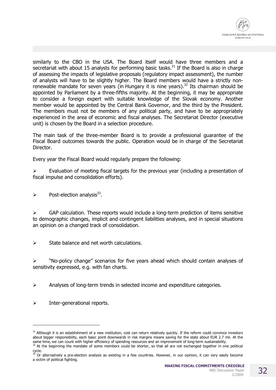

similarly to the CBO in the USA. The Board itself would have three members and a secretariat with about 15 analysts for performing basic tasks.<sup>31</sup> If the Board is also in charge of assessing the impacts of legislative proposals (regulatory impact assessment), the number of analysts will have to be slightly higher. The Board members would have a strictly nonrenewable mandate for seven years (in Hungary it is nine years).<sup>32</sup> Its chairman should be appointed by Parliament by a three-fifths majority. At the beginning, it may be appropriate to consider a foreign expert with suitable knowledge of the Slovak economy. Another member would be appointed by the Central Bank Governor, and the third by the President. The members must not be members of any political party, and have to be appropriately experienced in the area of economic and fiscal analyses. The Secretariat Director (executive unit) is chosen by the Board in a selection procedure.

The main task of the three-member Board is to provide a professional guarantee of the Fiscal Board outcomes towards the public. Operation would be in charge of the Secretariat Director.

Every year the Fiscal Board would regularly prepare the following:

 $\triangleright$  Evaluation of meeting fiscal targets for the previous year (including a presentation of fiscal impulse and consolidation efforts).

 $\triangleright$  Post-election analysis<sup>33</sup>.

 $\triangleright$  GAP calculation. These reports would include a long-term prediction of items sensitive to demographic changes, implicit and contingent liabilities analyses, and in special situations an opinion on a changed track of consolidation.

 $\triangleright$  State balance and net worth calculations.

 $\triangleright$  "No-policy change" scenarios for five years ahead which should contain analyses of sensitivity expressed, e.g. with fan charts.

 $\triangleright$  Analyses of long-term trends in selected income and expenditure categories.

 $\triangleright$  Inter-generational reports.

-

 $31$  Although it is an establishment of a new institution, cost can return relatively quickly. If the reform could convince investors about bigger responsibility, each basic point downwards in risk margins means saving for the state about EUR 2.7 mil. At the same time, we can count with higher efficiency of spending resources and an improvement of long-term sustainability.  $32$  At the beginning the mandate of some members could be shorter, so that all are not exchanged together in one political

cycle.  $33$  Or alternatively a pre-election analysis as existing in a few countries. However, in our opinion, it can very easily become a victim of political fighting.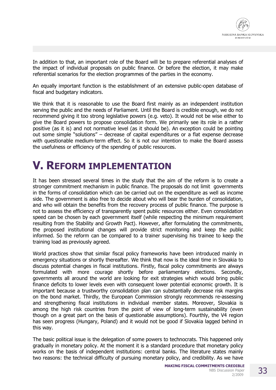In addition to that, an important role of the Board will be to prepare referential analyses of the impact of individual proposals on public finance. Or before the election, it may make referential scenarios for the election programmes of the parties in the economy.

An equally important function is the establishment of an extensive public-open database of fiscal and budgetary indicators.

We think that it is reasonable to use the Board first mainly as an independent institution serving the public and the needs of Parliament. Until the Board is credible enough, we do not recommend giving it too strong legislative powers (e.g. veto). It would not be wise either to give the Board powers to propose consolidation form. We primarily see its role in a rather positive (as it is) and not normative level (as it should be). An exception could be pointing out some simple "solutions" – decrease of capital expenditures or a flat expense decrease with questionable medium-term effect. So it is not our intention to make the Board assess the usefulness or efficiency of the spending of public resources.

# **V. REFORM IMPLEMENTATION**

It has been stressed several times in the study that the aim of the reform is to create a stronger commitment mechanism in public finance. The proposals do not limit governments in the forms of consolidation which can be carried out on the expenditure as well as income side. The government is also free to decide about who will bear the burden of consolidation, and who will obtain the benefits from the recovery process of public finance. The purpose is not to assess the efficiency of transparently spent public resources either. Even consolidation speed can be chosen by each government itself (while respecting the minimum requirement resulting from the Stability and Growth Pact). However, after formulating the commitments, the proposed institutional changes will provide strict monitoring and keep the public informed. So the reform can be compared to a trainer supervising his trainee to keep the training load as previously agreed.

World practices show that similar fiscal policy frameworks have been introduced mainly in emergency situations or shortly thereafter. We think that now is the ideal time in Slovakia to discuss potential changes in fiscal institutions. Firstly, fiscal policy commitments are always formulated with more courage shortly before parliamentary elections. Secondly, governments all around the world are looking for exit strategies which would bring public finance deficits to lower levels even with consequent lower potential economic growth. It is important because a trustworthy consolidation plan can substantially decrease risk margins on the bond market. Thirdly, the European Commission strongly recommends re-assessing and strengthening fiscal institutions in individual member states. Moreover, Slovakia is among the high risk countries from the point of view of long-term sustainability (even though on a great part on the basis of questionable assumptions). Fourthly, the V4 region has seen progress (Hungary, Poland) and it would not be good if Slovakia lagged behind in this way.

The basic political issue is the delegation of some powers to technocrats. This happened only gradually in monetary policy. At the moment it is a standard procedure that monetary policy works on the basis of independent institutions: central banks. The literature states mainly two reasons: the technical difficulty of pursuing monetary policy, and credibility. As we have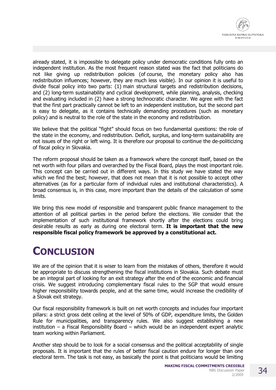

already stated, it is impossible to delegate policy under democratic conditions fully onto an independent institution. As the most frequent reason stated was the fact that politicians do not like giving up redistribution policies (of course, the monetary policy also has redistribution influences; however, they are much less visible). In our opinion it is useful to divide fiscal policy into two parts: (1) main structural targets and redistribution decisions, and (2) long-term sustainability and cyclical development, while planning, analysis, checking and evaluating included in (2) have a strong technocratic character. We agree with the fact that the first part practically cannot be left to an independent institution, but the second part is easy to delegate, as it contains technically demanding procedures (such as monetary policy) and is neutral to the role of the state in the economy and redistribution.

We believe that the political "fight" should focus on two fundamental questions: the role of the state in the economy, and redistribution. Deficit, surplus, and long-term sustainability are not issues of the right or left wing. It is therefore our proposal to continue the de-politicizing of fiscal policy in Slovakia.

The reform proposal should be taken as a framework where the concept itself, based on the net worth with four pillars and overarched by the Fiscal Board, plays the most important role. This concept can be carried out in different ways. In this study we have stated the way which we find the best; however, that does not mean that it is not possible to accept other alternatives (as for a particular form of individual rules and institutional characteristics). A broad consensus is, in this case, more important than the details of the calculation of some limits.

We bring this new model of responsible and transparent public finance management to the attention of all political parties in the period before the elections. We consider that the implementation of such institutional framework shortly after the elections could bring desirable results as early as during one electoral term. **It is important that the new responsible fiscal policy framework be approved by a constitutional act.** 

# **CONCLUSION**

We are of the opinion that it is wiser to learn from the mistakes of others, therefore it would be appropriate to discuss strengthening the fiscal institutions in Slovakia. Such debate must be an integral part of looking for an exit strategy after the end of the economic and financial crisis. We suggest introducing complementary fiscal rules to the SGP that would ensure higher responsibility towards people, and at the same time, would increase the credibility of a Slovak exit strategy.

Our fiscal responsibility framework is built on net worth concepts and includes four important pillars: a strict gross debt ceiling at the level of 50% of GDP, expenditure limits, the Golden Rule for municipalities, and transparency rules. We also suggest establishing a new institution – a Fiscal Responsibility Board – which would be an independent expert analytic team working within Parliament.

Another step should be to look for a social consensus and the political acceptability of single proposals. It is important that the rules of better fiscal caution endure for longer than one electoral term. The task is not easy, as basically the point is that politicians would be limiting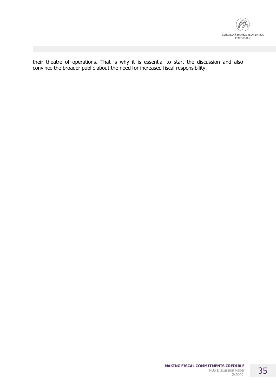

their theatre of operations. That is why it is essential to start the discussion and also convince the broader public about the need for increased fiscal responsibility.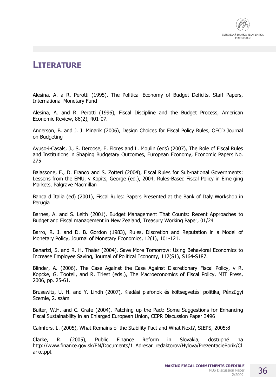

# **LITERATURE**

Alesina, A. a R. Perotti (1995), The Political Economy of Budget Deficits, Staff Papers, International Monetary Fund

Alesina, A. and R. Perotti (1996), Fiscal Discipline and the Budget Process, American Economic Review, 86(2), 401-07.

Anderson, B. and J. J. Minarik (2006), Design Choices for Fiscal Policy Rules, OECD Journal on Budgeting

Ayuso-i-Casals, J., S. Deroose, E. Flores and L. Moulin (eds) (2007), The Role of Fiscal Rules and Institutions in Shaping Budgetary Outcomes, European Economy, Economic Papers No. 275

Balassone, F., D. Franco and S. Zotteri (2004), Fiscal Rules for Sub-national Governments: Lessons from the EMU, v Kopits, George (ed.), 2004, Rules-Based Fiscal Policy in Emerging Markets, Palgrave Macmillan

Banca d Italia (ed) (2001), Fiscal Rules: Papers Presented at the Bank of Italy Workshop in Perugia

Barnes, A. and S. Leith (2001), Budget Management That Counts: Recent Approaches to Budget and Fiscal management in New Zealand, Treasury Working Paper, 01/24

Barro, R. J. and D. B. Gordon (1983), Rules, Discretion and Reputation in a Model of Monetary Policy, Journal of Monetary Economics, 12(1), 101-121.

Benartzi, S. and R. H. Thaler (2004), Save More Tomorrow: Using Behavioral Economics to Increase Employee Saving, Journal of Political Economy, 112(S1), S164-S187.

Blinder, A. (2006), The Case Against the Case Against Discretionary Fiscal Policy, v R. Kopcke, G. Tootell, and R. Triest (eds.), The Macroeconomics of Fiscal Policy, MIT Press, 2006, pp. 25-61.

Brusewitz, U. H. and Y. Lindh (2007), Kiadási plafonok és költsegvetési politika, Pénzügyi Szemle, 2. szám

Buiter, W.H. and C. Grafe (2004), Patching up the Pact: Some Suggestions for Enhancing Fiscal Sustainability in an Enlarged European Union, CEPR Discussion Paper 3496

Calmfors, L. (2005), What Remains of the Stability Pact and What Next?, SIEPS, 2005:8

Clarke, R. (2005), Public Finance Reform in Slovakia, dostupné na http://www.finance.gov.sk/EN/Documents/1\_Adresar\_redaktorov/Hylova/PrezentacieBorik/Cl arke.ppt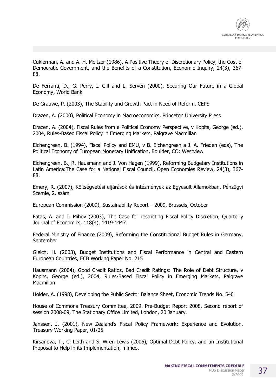

Cukierman, A. and A. H. Meltzer (1986), A Positive Theory of Discretionary Policy, the Cost of Democratic Government, and the Benefits of a Constitution, Economic Inquiry, 24(3), 367- 88.

De Ferranti, D., G. Perry, I. Gill and L. Servén (2000), Securing Our Future in a Global Economy, World Bank

De Grauwe, P. (2003), The Stability and Growth Pact in Need of Reform, CEPS

Drazen, A. (2000), Political Economy in Macroeconomics, Princeton University Press

Drazen, A. (2004), Fiscal Rules from a Political Economy Perspective, v Kopits, George (ed.), 2004, Rules-Based Fiscal Policy in Emerging Markets, Palgrave Macmillan

Eichengreen, B. (1994), Fiscal Policy and EMU, v B. Eichengreen a J. A. Frieden (eds), The Political Economy of European Monetary Unification, Boulder, CO: Westview

Eichengreen, B., R. Hausmann and J. Von Hagen (1999), Reforming Budgetary Institutions in Latin America:The Case for a National Fiscal Council, Open Economies Review, 24(3), 367- 88.

Emery, R. (2007), Költségvetési eljárások és intézmények az Egyesült Államokban, Pénzügyi Szemle, 2. szám

European Commission (2009), Sustainability Report – 2009, Brussels, October

Fatas, A. and I. Mihov (2003), The Case for restricting Fiscal Policy Discretion, Quarterly Journal of Economics, 118(4), 1419-1447.

Federal Ministry of Finance (2009), Reforming the Constitutional Budget Rules in Germany, September

Gleich, H. (2003), Budget Institutions and Fiscal Performance in Central and Eastern European Countries, ECB Working Paper No. 215

Hausmann (2004), Good Credit Ratios, Bad Credit Ratings: The Role of Debt Structure, v Kopits, George (ed.), 2004, Rules-Based Fiscal Policy in Emerging Markets, Palgrave **Macmillan** 

Holder, A. (1998), Developing the Public Sector Balance Sheet, Economic Trends No. 540

House of Commons Treasury Committee, 2009. Pre-Budget Report 2008, Second report of session 2008-09, The Stationary Office Limited, London, 20 January.

Janssen, J. (2001), New Zealand's Fiscal Policy Framework: Experience and Evolution, Treasury Working Paper, 01/25

Kirsanova, T., C. Leith and S. Wren-Lewis (2006), Optimal Debt Policy, and an Institutional Proposal to Help in its Implementation, mimeo.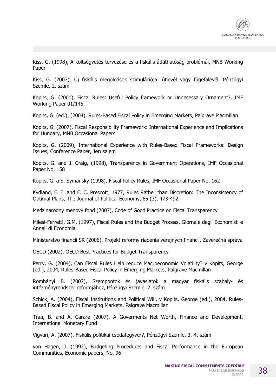Kiss, G. (1998), A költségvetés tervezése és a fiskális átláthatóság problémái, MNB Working Paper

Kiss, G. (2007), Új fiskális megoldások szimulációja: útlevél vagy fügefalevél, Pénzügyi Szemle, 2. szám

Kopits, G. (2001), Fiscal Rules: Useful Policy framework or Unnecessary Ornament?, IMF Working Paper 01/145

Kopits, G. (ed.), (2004), Rules-Based Fiscal Policy in Emerging Markets, Palgrave Macmillan

Kopits, G. (2007), Fiscal Responsibility Framework: International Experience and Implications for Hungary, MNB Occasional Papers

Kopits, G. (2009), International Experience with Rules-Based Fiscal Frameworks: Design Issues, Conference Paper, Jerusalem

Kopits, G. and J. Craig, (1998), Transparency in Government Operations, IMF Occasional Paper No. 158

Kopits, G. a S. Symansky (1998), Fiscal Policy Rules, IMF Occasional Paper No. 162

Kydland, F. E. and E. C. Prescott, 1977, Rules Rather than Discretion: The Inconsistency of Optimal Plans, The Journal of Political Economy, 85 (3), 473-492.

Medzinárodný menový fond (2007), Code of Good Practice on Fiscal Transparency

Milesi-Ferretti, G.M. (1997), Fiscal Rules and the Budget Process, Giornale degli Economisti e Annali di Economia

Ministerstvo financií SR (2006), Projekt reformy riadenia verejných financií, Záverečná správa

OECD (2002), OECD Best Practices for Budget Transparency

Perry, G. (2004), Can Fiscal Rules Help reduce Macroeconomic Volatility? v Kopits, George (ed.), 2004, Rules-Based Fiscal Policy in Emerging Markets, Palgrave Macmillan

Romhányi B. (2007), Szempontok és javaslatok a magyar fiskális szabály- és intézményrendszer reformjához, Pénzügyi Szemle, 2. szám

Schick, A. (2004), Fiscal Institutions and Political Will, v Kopits, George (ed.), 2004, Rules-Based Fiscal Policy in Emerging Markets, Palgrave Macmillan

Traa, B. and A. Carare (2007), A Goverments Net Worth, Finance and Development, International Monetary Fund

Vigvari, A. (2007), Fiskális politikai csodafegyver?, Pénzügyi Szemle, 3.-4. szám

von Hagen, J. (1992), Budgeting Procedures and Fiscal Performance in the European Communities, Economic papers, No. 96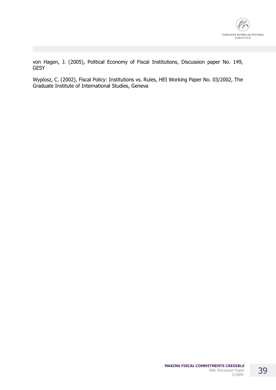

von Hagen, J. (2005), Political Economy of Fiscal Institutions, Discussion paper No. 149, **GESY** 

Wyplosz, C. (2002), Fiscal Policy: Institutions vs. Rules, HEI Working Paper No. 03/2002, The Graduate Institute of International Studies, Geneva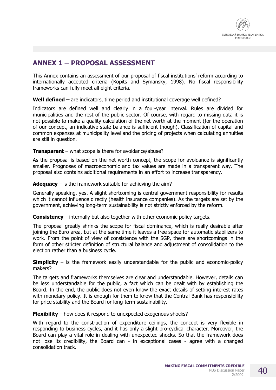

# **ANNEX 1 – PROPOSAL ASSESSMENT**

This Annex contains an assessment of our proposal of fiscal institutions' reform according to internationally accepted criteria (Kopits and Symansky, 1998). No fiscal responsibility frameworks can fully meet all eight criteria.

**Well defined –** are indicators, time period and institutional coverage well defined?

Indicators are defined well and clearly in a four-year interval. Rules are divided for municipalities and the rest of the public sector. Of course, with regard to missing data it is not possible to make a quality calculation of the net worth at the moment (for the operation of our concept, an indicative state balance is sufficient though). Classification of capital and common expenses at municipality level and the pricing of projects when calculating annuities are still in question.

#### **Transparent** – what scope is there for avoidance/abuse?

As the proposal is based on the net worth concept, the scope for avoidance is significantly smaller. Prognoses of macroeconomic and tax values are made in a transparent way. The proposal also contains additional requirements in an effort to increase transparency.

#### **Adequacy** – is the framework suitable for achieving the aim?

Generally speaking, yes. A slight shortcoming is central government responsibility for results which it cannot influence directly (health insurance companies). As the targets are set by the government, achieving long-term sustainability is not strictly enforced by the reform.

**Consistency** – internally but also together with other economic policy targets.

The proposal greatly shrinks the scope for fiscal dominance, which is really desirable after joining the Euro area, but at the same time it leaves a free space for automatic stabilizers to work. From the point of view of consistence with the SGP, there are shortcomings in the form of other stricter definition of structural balance and adjustment of consolidation to the election rather than a business cycle.

**Simplicity** – is the framework easily understandable for the public and economic-policy makers?

The targets and frameworks themselves are clear and understandable. However, details can be less understandable for the public, a fact which can be dealt with by establishing the Board. In the end, the public does not even know the exact details of setting interest rates with monetary policy. It is enough for them to know that the Central Bank has responsibility for price stability and the Board for long-term sustainability.

**Flexibility** – how does it respond to unexpected exogenous shocks?

With regard to the construction of expenditure ceilings, the concept is very flexible in responding to business cycles, and it has only a slight pro-cyclical character. Moreover, the Board can play a vital role in dealing with unexpected shocks. So that the framework does not lose its credibility, the Board can - in exceptional cases - agree with a changed consolidation track.

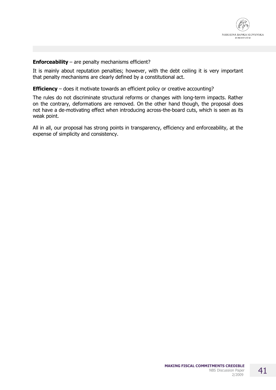

#### **Enforceability**  $-$  are penalty mechanisms efficient?

It is mainly about reputation penalties; however, with the debt ceiling it is very important that penalty mechanisms are clearly defined by a constitutional act.

#### **Efficiency** – does it motivate towards an efficient policy or creative accounting?

The rules do not discriminate structural reforms or changes with long-term impacts. Rather on the contrary, deformations are removed. On the other hand though, the proposal does not have a de-motivating effect when introducing across-the-board cuts, which is seen as its weak point.

All in all, our proposal has strong points in transparency, efficiency and enforceability, at the expense of simplicity and consistency.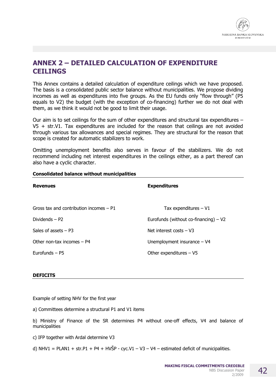

## **ANNEX 2 – DETAILED CALCULATION OF EXPENDITURE CEILINGS**

This Annex contains a detailed calculation of expenditure ceilings which we have proposed. The basis is a consolidated public sector balance without municipalities. We propose dividing incomes as well as expenditures into five groups. As the EU funds only "flow through" (P5 equals to V2) the budget (with the exception of co-financing) further we do not deal with them, as we think it would not be good to limit their usage.

Our aim is to set ceilings for the sum of other expenditures and structural tax expenditures –  $V5$  + str.V1. Tax expenditures are included for the reason that ceilings are not avoided through various tax allowances and special regimes. They are structural for the reason that scope is created for automatic stabilizers to work.

Omitting unemployment benefits also serves in favour of the stabilizers. We do not recommend including net interest expenditures in the ceilings either, as a part thereof can also have a cyclic character.

| <b>Revenues</b>                           | <b>Expenditures</b>                     |
|-------------------------------------------|-----------------------------------------|
| Gross tax and contribution incomes $-$ P1 | Tax expenditures $-V1$                  |
| Dividends $-$ P2                          | Eurofunds (without co-financing) $- V2$ |
| Sales of assets $- P3$                    | Net interest costs $- V3$               |
| Other non-tax incomes $-$ P4              | Unemployment insurance $- V4$           |
| Eurofunds $-$ P5                          | Other expenditures $- V5$               |

#### **Consolidated balance without municipalities**

#### **DEFICITS**

Example of setting NHV for the first year

a) Committees determine a structural P1 and V1 items

b) Ministry of Finance of the SR determines P4 without one-off effects, V4 and balance of municipalities

c) IFP together with Ardal determine V3

d) NHV1 = PLAN1 + str.P1 + P4 + HVŠP - cyc.V1 - V3 - V4 - estimated deficit of municipalities.